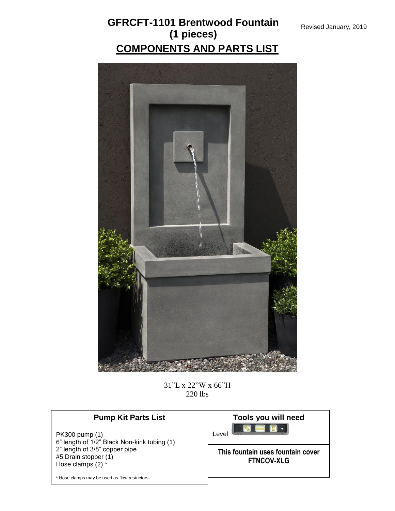

31"L x 22"W x 66"H 220 lbs

| <b>Pump Kit Parts List</b>                                         | Tools you will need                                    |
|--------------------------------------------------------------------|--------------------------------------------------------|
| PK300 pump (1)<br>6" length of 1/2" Black Non-kink tubing (1)      | Level                                                  |
| 2" length of 3/8" copper pipe<br>#5 Drain stopper (1)              | This fountain uses fountain cover<br><b>FTNCOV-XLG</b> |
| Hose clamps (2) *<br>* Hose clamps may be used as flow restrictors |                                                        |
|                                                                    |                                                        |